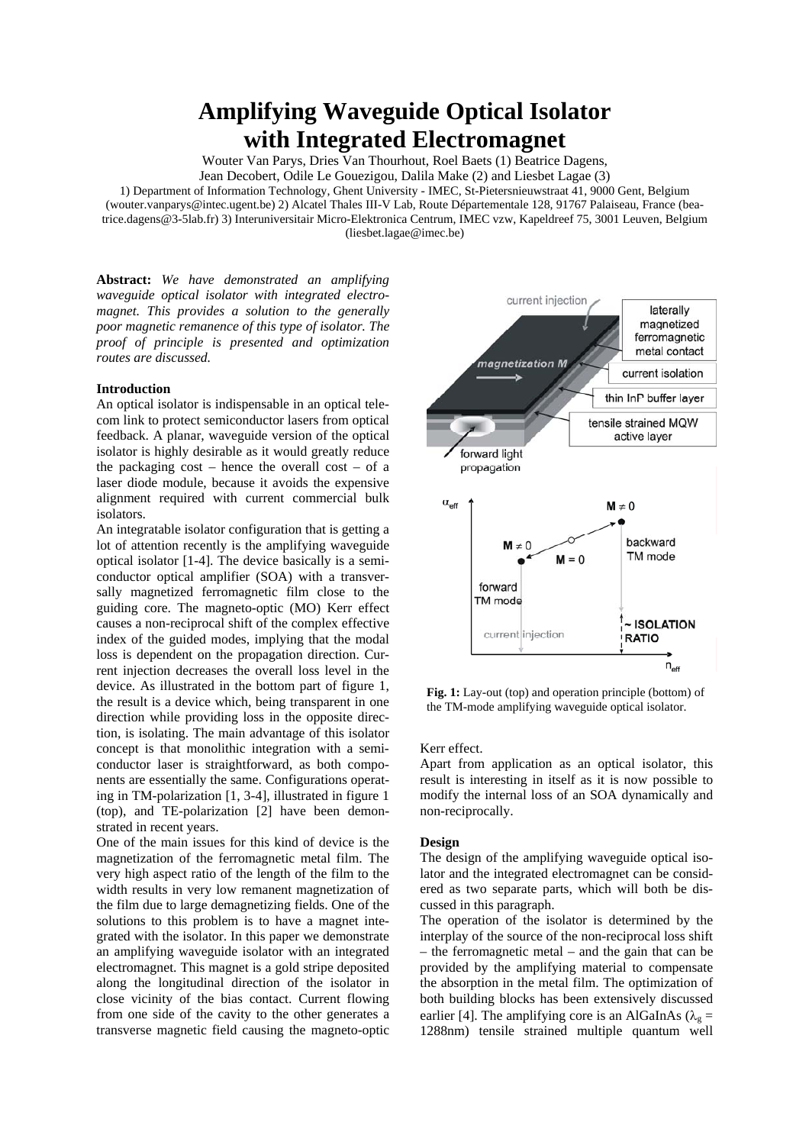# **Amplifying Waveguide Optical Isolator with Integrated Electromagnet**

Wouter Van Parys, Dries Van Thourhout, Roel Baets (1) Beatrice Dagens,

Jean Decobert, Odile Le Gouezigou, Dalila Make (2) and Liesbet Lagae (3)

1) Department of Information Technology, Ghent University - IMEC, St-Pietersnieuwstraat 41, 9000 Gent, Belgium (wouter.vanparys@intec.ugent.be) 2) Alcatel Thales III-V Lab, Route Départementale 128, 91767 Palaiseau, France (bea-

trice.dagens@3-5lab.fr) 3) Interuniversitair Micro-Elektronica Centrum, IMEC vzw, Kapeldreef 75, 3001 Leuven, Belgium (liesbet.lagae@imec.be)

**Abstract:** *We have demonstrated an amplifying waveguide optical isolator with integrated electromagnet. This provides a solution to the generally poor magnetic remanence of this type of isolator. The proof of principle is presented and optimization routes are discussed.* 

## **Introduction**

An optical isolator is indispensable in an optical telecom link to protect semiconductor lasers from optical feedback. A planar, waveguide version of the optical isolator is highly desirable as it would greatly reduce the packaging cost – hence the overall cost – of a laser diode module, because it avoids the expensive alignment required with current commercial bulk isolators.

An integratable isolator configuration that is getting a lot of attention recently is the amplifying waveguide optical isolator [1-4]. The device basically is a semiconductor optical amplifier (SOA) with a transversally magnetized ferromagnetic film close to the guiding core. The magneto-optic (MO) Kerr effect causes a non-reciprocal shift of the complex effective index of the guided modes, implying that the modal loss is dependent on the propagation direction. Current injection decreases the overall loss level in the device. As illustrated in the bottom part of figure 1, the result is a device which, being transparent in one direction while providing loss in the opposite direction, is isolating. The main advantage of this isolator concept is that monolithic integration with a semiconductor laser is straightforward, as both components are essentially the same. Configurations operating in TM-polarization [1, 3-4], illustrated in figure 1 (top), and TE-polarization [2] have been demonstrated in recent years.

One of the main issues for this kind of device is the magnetization of the ferromagnetic metal film. The very high aspect ratio of the length of the film to the width results in very low remanent magnetization of the film due to large demagnetizing fields. One of the solutions to this problem is to have a magnet integrated with the isolator. In this paper we demonstrate an amplifying waveguide isolator with an integrated electromagnet. This magnet is a gold stripe deposited along the longitudinal direction of the isolator in close vicinity of the bias contact. Current flowing from one side of the cavity to the other generates a transverse magnetic field causing the magneto-optic



**Fig. 1:** Lay-out (top) and operation principle (bottom) of the TM-mode amplifying waveguide optical isolator.

Kerr effect.

Apart from application as an optical isolator, this result is interesting in itself as it is now possible to modify the internal loss of an SOA dynamically and non-reciprocally.

## **Design**

The design of the amplifying waveguide optical isolator and the integrated electromagnet can be considered as two separate parts, which will both be discussed in this paragraph.

The operation of the isolator is determined by the interplay of the source of the non-reciprocal loss shift – the ferromagnetic metal – and the gain that can be provided by the amplifying material to compensate the absorption in the metal film. The optimization of both building blocks has been extensively discussed earlier [4]. The amplifying core is an AlGaInAs ( $\lambda_g$  = 1288nm) tensile strained multiple quantum well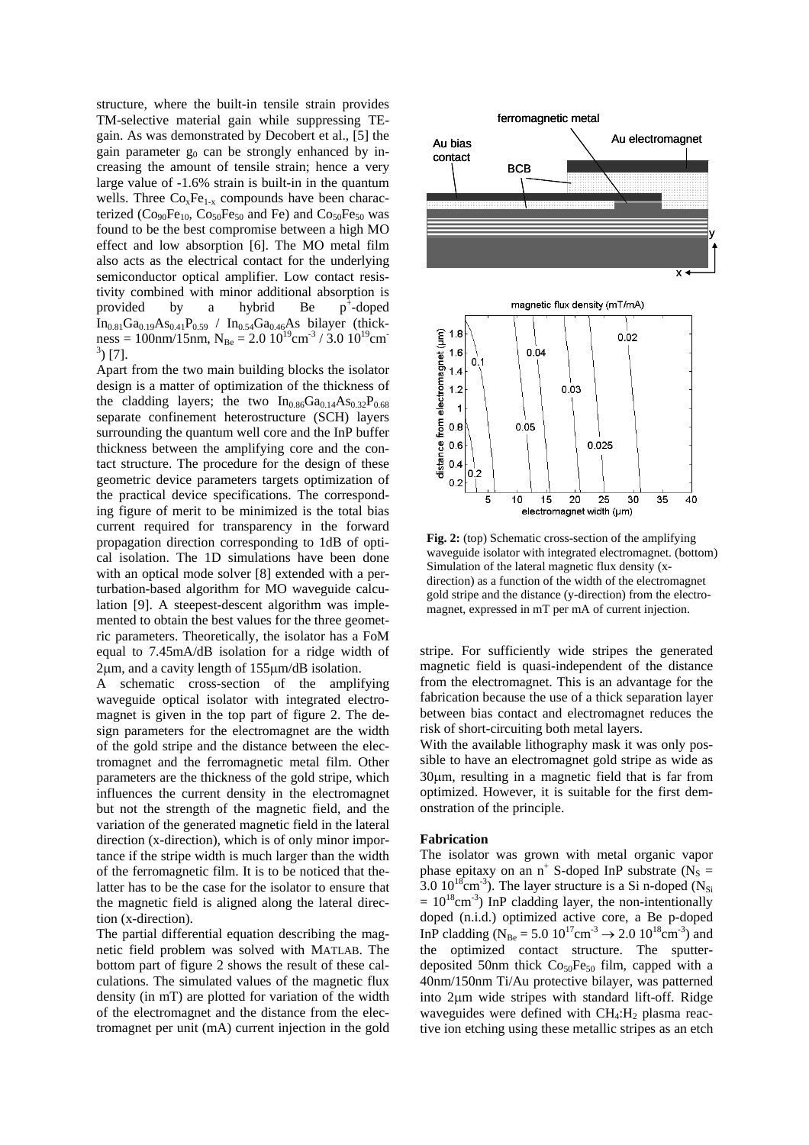structure, where the built-in tensile strain provides TM-selective material gain while suppressing TEgain. As was demonstrated by Decobert et al., [5] the gain parameter  $g_0$  can be strongly enhanced by increasing the amount of tensile strain; hence a very large value of -1.6% strain is built-in in the quantum wells. Three  $Co<sub>x</sub>Fe<sub>1-x</sub>$  compounds have been characterized  $(Co_{90}Fe_{10}$ ,  $Co_{50}Fe_{50}$  and Fe) and  $Co_{50}Fe_{50}$  was found to be the best compromise between a high MO effect and low absorption [6]. The MO metal film also acts as the electrical contact for the underlying semiconductor optical amplifier. Low contact resistivity combined with minor additional absorption is provided by a hybrid Be  $p^*$ -doped  $In_{0.81}Ga_{0.19}As_{0.41}P_{0.59}$  /  $In_{0.54}Ga_{0.46}As$  bilayer (thickness = 100nm/15nm,  $N_{Be}$  = 2.0 10<sup>19</sup>cm<sup>-3</sup> / 3.0 10<sup>19</sup>cm<sup>-</sup>  $^{3}$ ) [7].

Apart from the two main building blocks the isolator design is a matter of optimization of the thickness of the cladding layers; the two  $In<sub>0.86</sub>Ga<sub>0.14</sub>As<sub>0.32</sub>P<sub>0.68</sub>$ separate confinement heterostructure (SCH) layers surrounding the quantum well core and the InP buffer thickness between the amplifying core and the contact structure. The procedure for the design of these geometric device parameters targets optimization of the practical device specifications. The corresponding figure of merit to be minimized is the total bias current required for transparency in the forward propagation direction corresponding to 1dB of optical isolation. The 1D simulations have been done with an optical mode solver [8] extended with a perturbation-based algorithm for MO waveguide calculation [9]. A steepest-descent algorithm was implemented to obtain the best values for the three geometric parameters. Theoretically, the isolator has a FoM equal to 7.45mA/dB isolation for a ridge width of 2µm, and a cavity length of 155µm/dB isolation.

A schematic cross-section of the amplifying waveguide optical isolator with integrated electromagnet is given in the top part of figure 2. The design parameters for the electromagnet are the width of the gold stripe and the distance between the electromagnet and the ferromagnetic metal film. Other parameters are the thickness of the gold stripe, which influences the current density in the electromagnet but not the strength of the magnetic field, and the variation of the generated magnetic field in the lateral direction (x-direction), which is of only minor importance if the stripe width is much larger than the width of the ferromagnetic film. It is to be noticed that thelatter has to be the case for the isolator to ensure that the magnetic field is aligned along the lateral direction (x-direction).

The partial differential equation describing the magnetic field problem was solved with MATLAB. The bottom part of figure 2 shows the result of these calculations. The simulated values of the magnetic flux density (in mT) are plotted for variation of the width of the electromagnet and the distance from the electromagnet per unit (mA) current injection in the gold



**Fig. 2:** (top) Schematic cross-section of the amplifying waveguide isolator with integrated electromagnet. (bottom) Simulation of the lateral magnetic flux density (xdirection) as a function of the width of the electromagnet gold stripe and the distance (y-direction) from the electromagnet, expressed in mT per mA of current injection.

stripe. For sufficiently wide stripes the generated magnetic field is quasi-independent of the distance from the electromagnet. This is an advantage for the fabrication because the use of a thick separation layer between bias contact and electromagnet reduces the risk of short-circuiting both metal layers.

With the available lithography mask it was only possible to have an electromagnet gold stripe as wide as 30µm, resulting in a magnetic field that is far from optimized. However, it is suitable for the first demonstration of the principle.

## **Fabrication**

The isolator was grown with metal organic vapor phase epitaxy on an  $n^+$  S-doped InP substrate ( $N_s =$ 3.0  $10^{18}$ cm<sup>-3</sup>). The layer structure is a Si n-doped (N<sub>Si</sub>  $= 10^{18}$ cm<sup>-3</sup>) InP cladding layer, the non-intentionally doped (n.i.d.) optimized active core, a Be p-doped InP cladding ( $N_{\text{Be}} = 5.0 \ 10^{17} \text{cm}^{-3} \rightarrow 2.0 \ 10^{18} \text{cm}^{-3}$ ) and the optimized contact structure. The sputterdeposited 50nm thick  $Co<sub>50</sub>Fe<sub>50</sub>$  film, capped with a 40nm/150nm Ti/Au protective bilayer, was patterned into 2µm wide stripes with standard lift-off. Ridge waveguides were defined with  $CH_4$ :  $H_2$  plasma reactive ion etching using these metallic stripes as an etch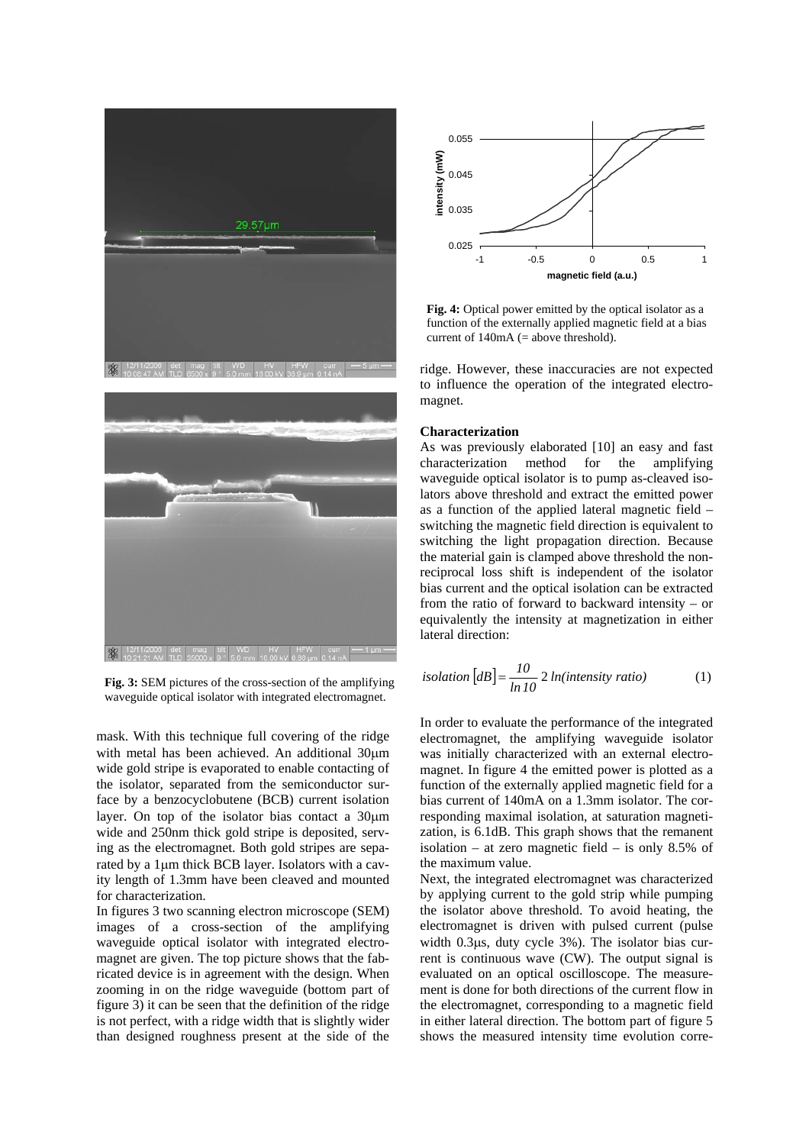

**Fig. 3:** SEM pictures of the cross-section of the amplifying waveguide optical isolator with integrated electromagnet.

mask. With this technique full covering of the ridge with metal has been achieved. An additional 30um wide gold stripe is evaporated to enable contacting of the isolator, separated from the semiconductor surface by a benzocyclobutene (BCB) current isolation layer. On top of the isolator bias contact a 30um wide and 250nm thick gold stripe is deposited, serving as the electromagnet. Both gold stripes are separated by a 1µm thick BCB layer. Isolators with a cavity length of 1.3mm have been cleaved and mounted for characterization.

In figures 3 two scanning electron microscope (SEM) images of a cross-section of the amplifying waveguide optical isolator with integrated electromagnet are given. The top picture shows that the fabricated device is in agreement with the design. When zooming in on the ridge waveguide (bottom part of figure 3) it can be seen that the definition of the ridge is not perfect, with a ridge width that is slightly wider than designed roughness present at the side of the



**Fig. 4:** Optical power emitted by the optical isolator as a function of the externally applied magnetic field at a bias current of  $140mA$  (= above threshold).

ridge. However, these inaccuracies are not expected to influence the operation of the integrated electromagnet.

### **Characterization**

As was previously elaborated [10] an easy and fast characterization method for the amplifying waveguide optical isolator is to pump as-cleaved isolators above threshold and extract the emitted power as a function of the applied lateral magnetic field – switching the magnetic field direction is equivalent to switching the light propagation direction. Because the material gain is clamped above threshold the nonreciprocal loss shift is independent of the isolator bias current and the optical isolation can be extracted from the ratio of forward to backward intensity – or equivalently the intensity at magnetization in either lateral direction:

isolation 
$$
[dB] = \frac{10}{\ln 10} 2 \ln(\text{intensity ratio})
$$
 (1)

In order to evaluate the performance of the integrated electromagnet, the amplifying waveguide isolator was initially characterized with an external electromagnet. In figure 4 the emitted power is plotted as a function of the externally applied magnetic field for a bias current of 140mA on a 1.3mm isolator. The corresponding maximal isolation, at saturation magnetization, is 6.1dB. This graph shows that the remanent isolation – at zero magnetic field – is only 8.5% of the maximum value.

Next, the integrated electromagnet was characterized by applying current to the gold strip while pumping the isolator above threshold. To avoid heating, the electromagnet is driven with pulsed current (pulse width 0.3µs, duty cycle 3%). The isolator bias current is continuous wave (CW). The output signal is evaluated on an optical oscilloscope. The measurement is done for both directions of the current flow in the electromagnet, corresponding to a magnetic field in either lateral direction. The bottom part of figure 5 shows the measured intensity time evolution corre-